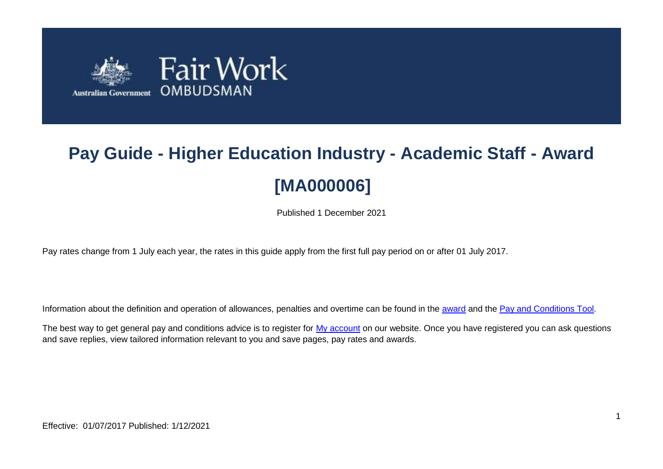

# **Pay Guide - Higher Education Industry - Academic Staff - Award [MA000006]**

Published 1 December 2021

Pay rates change from 1 July each year, the rates in this guide apply from the first full pay period on or after 01 July 2017.

Information about the definition and operation of allowances, penalties and overtime can be found in the [award](https://www.fairwork.gov.au/awards-and-agreements/awards/list-of-awards) and the [Pay and Conditions Tool.](https://calculate.fairwork.gov.au/)

The best way to get general pay and conditions advice is to register for [My account](https://www.fairwork.gov.au/my-account/registerpage.aspx) on our website. Once you have registered you can ask questions and save replies, view tailored information relevant to you and save pages, pay rates and awards.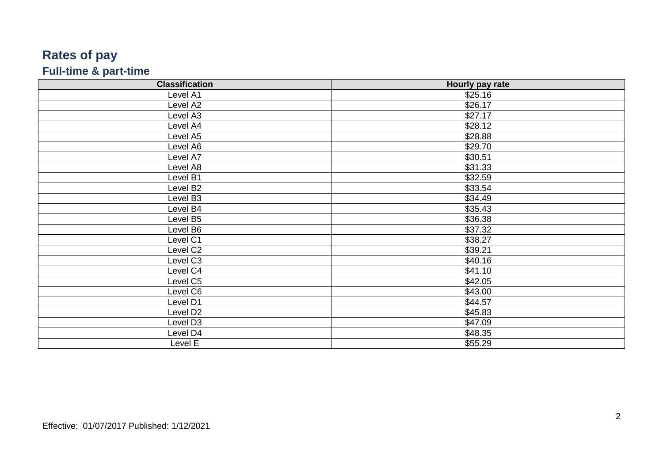## **Rates of pay Full -time & part -time**

| <b>Classification</b> | Hourly pay rate |
|-----------------------|-----------------|
| Level A1              | \$25.16         |
| Level A2              | \$26.17         |
| Level A3              | \$27.17         |
| Level A4              | \$28.12         |
| Level A5              | \$28.88         |
| Level A6              | \$29.70         |
| Level A7              | \$30.51         |
| Level A8              | \$31.33         |
| Level B1              | \$32.59         |
| Level B <sub>2</sub>  | \$33.54         |
| Level B3              | \$34.49         |
| Level B4              | \$35.43         |
| Level B5              | \$36.38         |
| Level B6              | \$37.32         |
| Level C1              | \$38.27         |
| Level C <sub>2</sub>  | \$39.21         |
| Level C3              | \$40.16         |
| Level C4              | \$41.10         |
| Level C5              | \$42.05         |
| Level C6              | \$43.00         |
| Level D1              | \$44.57         |
| Level D <sub>2</sub>  | \$45.83         |
| Level D3              | \$47.09         |
| Level D4              | \$48.35         |
| Level E               | \$55.29         |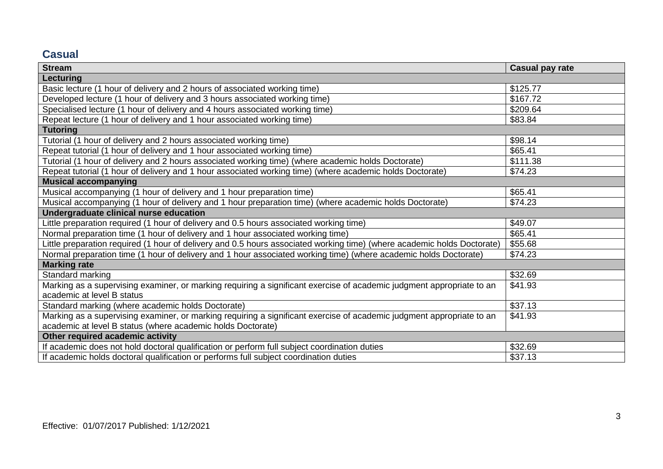### **Casual**

| <b>Stream</b>                                                                                                           | <b>Casual pay rate</b> |  |
|-------------------------------------------------------------------------------------------------------------------------|------------------------|--|
| Lecturing                                                                                                               |                        |  |
| Basic lecture (1 hour of delivery and 2 hours of associated working time)                                               | \$125.77               |  |
| Developed lecture (1 hour of delivery and 3 hours associated working time)                                              | \$167.72               |  |
| Specialised lecture (1 hour of delivery and 4 hours associated working time)                                            | \$209.64               |  |
| Repeat lecture (1 hour of delivery and 1 hour associated working time)                                                  | \$83.84                |  |
| <b>Tutoring</b>                                                                                                         |                        |  |
| Tutorial (1 hour of delivery and 2 hours associated working time)                                                       | \$98.14                |  |
| Repeat tutorial (1 hour of delivery and 1 hour associated working time)                                                 | \$65.41                |  |
| Tutorial (1 hour of delivery and 2 hours associated working time) (where academic holds Doctorate)                      | \$111.38               |  |
| Repeat tutorial (1 hour of delivery and 1 hour associated working time) (where academic holds Doctorate)                | \$74.23                |  |
| <b>Musical accompanying</b>                                                                                             |                        |  |
| Musical accompanying (1 hour of delivery and 1 hour preparation time)                                                   | \$65.41                |  |
| Musical accompanying (1 hour of delivery and 1 hour preparation time) (where academic holds Doctorate)                  | \$74.23                |  |
| Undergraduate clinical nurse education                                                                                  |                        |  |
| Little preparation required (1 hour of delivery and 0.5 hours associated working time)                                  | \$49.07                |  |
| Normal preparation time (1 hour of delivery and 1 hour associated working time)                                         | \$65.41                |  |
| Little preparation required (1 hour of delivery and 0.5 hours associated working time) (where academic holds Doctorate) | \$55.68                |  |
| Normal preparation time (1 hour of delivery and 1 hour associated working time) (where academic holds Doctorate)        | \$74.23                |  |
| <b>Marking rate</b>                                                                                                     |                        |  |
| Standard marking                                                                                                        | \$32.69                |  |
| Marking as a supervising examiner, or marking requiring a significant exercise of academic judgment appropriate to an   | \$41.93                |  |
| academic at level B status                                                                                              |                        |  |
| Standard marking (where academic holds Doctorate)                                                                       | \$37.13                |  |
| Marking as a supervising examiner, or marking requiring a significant exercise of academic judgment appropriate to an   | \$41.93                |  |
| academic at level B status (where academic holds Doctorate)                                                             |                        |  |
| Other required academic activity                                                                                        |                        |  |
| If academic does not hold doctoral qualification or perform full subject coordination duties                            | \$32.69                |  |
| If academic holds doctoral qualification or performs full subject coordination duties                                   | \$37.13                |  |